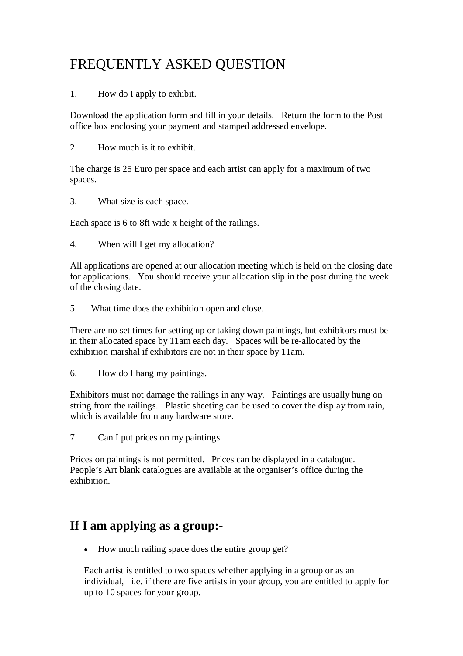## FREQUENTLY ASKED QUESTION

1. How do I apply to exhibit.

Download the application form and fill in your details. Return the form to the Post office box enclosing your payment and stamped addressed envelope.

2. How much is it to exhibit.

The charge is 25 Euro per space and each artist can apply for a maximum of two spaces.

3. What size is each space.

Each space is 6 to 8ft wide x height of the railings.

4. When will I get my allocation?

All applications are opened at our allocation meeting which is held on the closing date for applications. You should receive your allocation slip in the post during the week of the closing date.

5. What time does the exhibition open and close.

There are no set times for setting up or taking down paintings, but exhibitors must be in their allocated space by 11am each day. Spaces will be re-allocated by the exhibition marshal if exhibitors are not in their space by 11am.

6. How do I hang my paintings.

Exhibitors must not damage the railings in any way. Paintings are usually hung on string from the railings. Plastic sheeting can be used to cover the display from rain, which is available from any hardware store.

7. Can I put prices on my paintings.

Prices on paintings is not permitted. Prices can be displayed in a catalogue. People's Art blank catalogues are available at the organiser's office during the exhibition.

## **If I am applying as a group:-**

How much railing space does the entire group get?

Each artist is entitled to two spaces whether applying in a group or as an individual, i.e. if there are five artists in your group, you are entitled to apply for up to 10 spaces for your group.